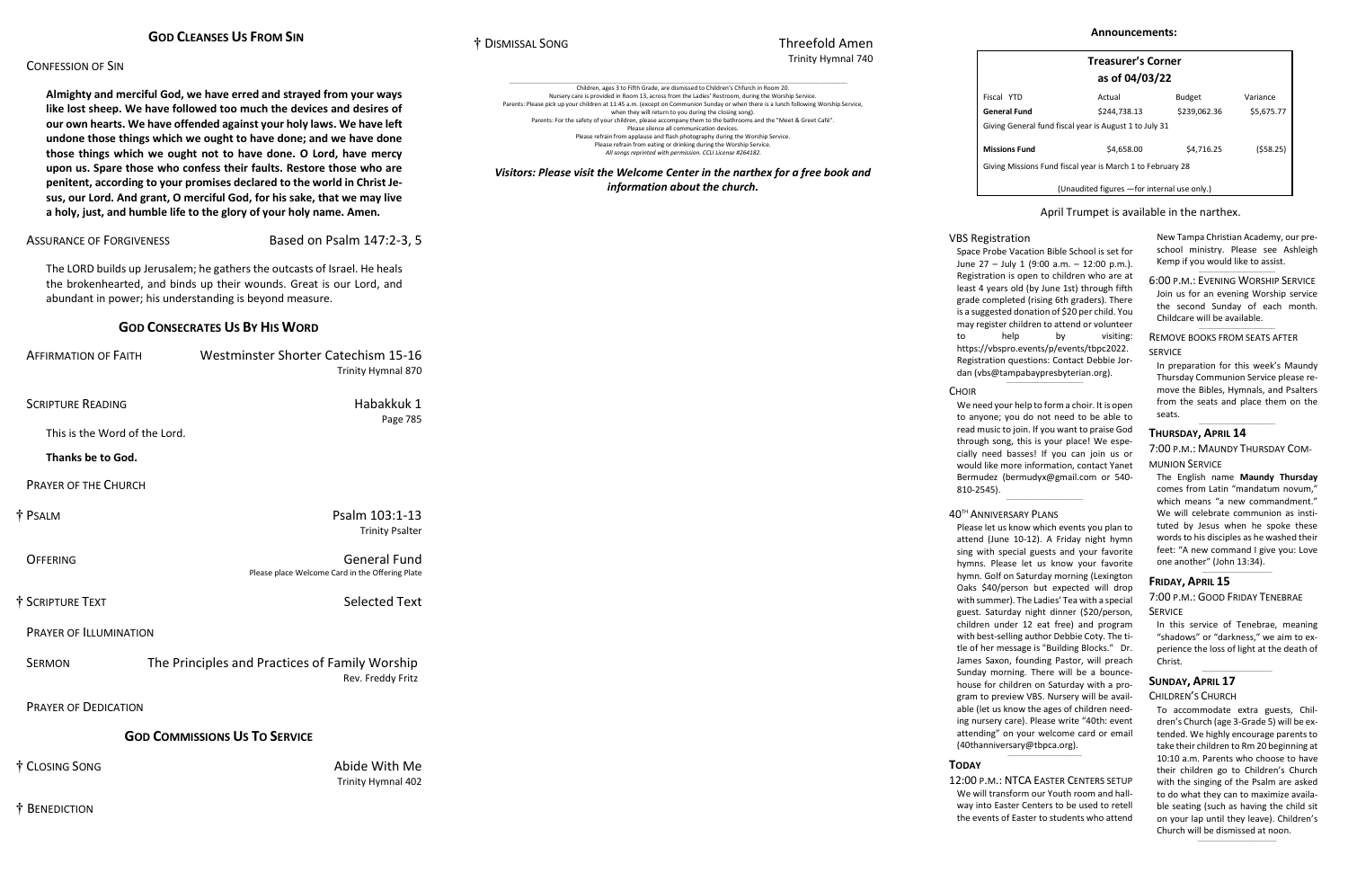#### CONFESSION OF SIN

**Almighty and merciful God, we have erred and strayed from your ways like lost sheep. We have followed too much the devices and desires of our own hearts. We have offended against your holy laws. We have left undone those things which we ought to have done; and we have done those things which we ought not to have done. O Lord, have mercy upon us. Spare those who confess their faults. Restore those who are penitent, according to your promises declared to the world in Christ Jesus, our Lord. And grant, O merciful God, for his sake, that we may live a holy, just, and humble life to the glory of your holy name. Amen.**

ASSURANCE OF FORGIVENESS Based on Psalm 147:2-3, 5

The LORD builds up Jerusalem; he gathers the outcasts of Israel. He heals the brokenhearted, and binds up their wounds. Great is our Lord, and abundant in power; his understanding is beyond measure.

#### **GOD CONSECRATES US BY HIS WORD**

| <b>AFFIRMATION OF FAITH</b>   | Westminster Shorter Catechism 15-16<br>Trinity Hymnal 870              |
|-------------------------------|------------------------------------------------------------------------|
| <b>SCRIPTURE READING</b>      | Habakkuk 1<br>Page 785                                                 |
| This is the Word of the Lord. |                                                                        |
| Thanks be to God.             |                                                                        |
| <b>PRAYER OF THE CHURCH</b>   |                                                                        |
| † Psalm                       | Psalm 103:1-13<br><b>Trinity Psalter</b>                               |
| <b>OFFERING</b>               | <b>General Fund</b><br>Please place Welcome Card in the Offering Plate |
| † SCRIPTURE TEXT              | <b>Selected Text</b>                                                   |
| <b>PRAYER OF ILLUMINATION</b> |                                                                        |
| <b>SERMON</b>                 | The Principles and Practices of Family Worship<br>Rev. Freddy Fritz    |
| <b>PRAYER OF DEDICATION</b>   |                                                                        |
|                               | <b>GOD COMMISSIONS US TO SERVICE</b>                                   |
| † Closing Song                | Abide With Me<br>Trinity Hymnal 402                                    |

New Tampa Christian Academy, our preschool ministry. Please see Ashleigh Kemp if you would like to assist.  $\_$ 

† BENEDICTION

† DISMISSAL SONG Threefold Amen

# Trinity Hymnal 740

| Children, ages 3 to Fifth Grade, are dismissed to Children's Chfurch in Room 20.                                                    |
|-------------------------------------------------------------------------------------------------------------------------------------|
| Nursery care is provided in Room 13, across from the Ladies' Restroom, during the Worship Service.                                  |
| Parents: Please pick up your children at 11:45 a.m. (except on Communion Sunday or when there is a lunch following Worship Service, |
| when they will return to you during the closing song).                                                                              |
| Parents: For the safety of your children, please accompany them to the bathrooms and the "Meet & Greet Café".                       |
| Please silence all communication devices.                                                                                           |
| Please refrain from applause and flash photography during the Worship Service.                                                      |
| Please refrain from eating or drinking during the Worship Service.                                                                  |
| All songs reprinted with permission. CCLI License #264182.                                                                          |

Space Probe Vacation Bible School is set for June 27 – July 1 (9:00 a.m. – 12:00 p.m.). Registration is open to children who are at least 4 years old (by June 1st) through fifth grade completed (rising 6th graders). There is a suggested donation of \$20 per child. You may register children to attend or volunteer to help by visiting: [https://vbspro.events/p/events/tbpc2022.](https://vbspro.events/p/events/tbpc2022) Registration questions: Contact Debbie Jordan [\(vbs@tampabaypresbyterian.org\)](mailto:vbs@tampabaypresbyterian.org).  $\_$ 

#### **CHOIR**

*Visitors: Please visit the Welcome Center in the narthex for a free book and information about the church.*

We need your help to form a choir. It is open to anyone; you do not need to be able to read music to join. If you want to praise God through song, this is your place! We especially need basses! If you can join us or would like more information, contact Yanet Bermudez [\(bermudyx@gmail.com](mailto:bermudyx@gmail.com%20or%20540-810-2545) or 540- [810-2545\)](mailto:bermudyx@gmail.com%20or%20540-810-2545).  $\_$ 

| <b>Treasurer's Corner</b><br>as of 04/03/22                |              |               |            |  |
|------------------------------------------------------------|--------------|---------------|------------|--|
| Fiscal YTD                                                 | Actual       | <b>Budget</b> | Variance   |  |
| General Fund                                               | \$244,738.13 | \$239,062.36  | \$5,675.77 |  |
| Giving General fund fiscal year is August 1 to July 31     |              |               |            |  |
| Missions Fund                                              | \$4,658.00   | \$4.716.25    | (\$58.25)  |  |
| Giving Missions Fund fiscal year is March 1 to February 28 |              |               |            |  |
| (Unaudited figures - for internal use only.)               |              |               |            |  |

#### April Trumpet is available in the narthex.

6:00 P.M.: EVENING WORSHIP SERVICE Join us for an evening Worship service the second Sunday of each month. Childcare will be available.

 $\_$ 

REMOVE BOOKS FROM SEATS AFTER SERVICE

In preparation for this week's Maundy Thursday Communion Service please remove the Bibles, Hymnals, and Psalters from the seats and place them on the seats.

\_\_\_\_\_\_\_\_\_\_\_\_\_\_\_\_\_\_\_\_\_\_\_\_\_\_\_\_\_\_\_\_\_\_\_

#### **THURSDAY, APRIL 14**

7:00 P.M.: MAUNDY THURSDAY COM-

MUNION SERVICE

The English name **Maundy Thursday** comes from Latin "mandatum novum," which means "a new commandment." We will celebrate communion as instituted by Jesus when he spoke these words to his disciples as he washed their feet: "A new command I give you: Love one another" (John 13:34).

 $\mathcal{L}=\mathcal{L}=\mathcal{L}=\mathcal{L}=\mathcal{L}=\mathcal{L}=\mathcal{L}=\mathcal{L}=\mathcal{L}=\mathcal{L}=\mathcal{L}=\mathcal{L}=\mathcal{L}=\mathcal{L}=\mathcal{L}=\mathcal{L}=\mathcal{L}=\mathcal{L}=\mathcal{L}=\mathcal{L}=\mathcal{L}=\mathcal{L}=\mathcal{L}=\mathcal{L}=\mathcal{L}=\mathcal{L}=\mathcal{L}=\mathcal{L}=\mathcal{L}=\mathcal{L}=\mathcal{L}=\mathcal{L}=\mathcal{L}=\mathcal{L}=\mathcal{L}=\mathcal{L}=\mathcal{$ 

#### **FRIDAY, APRIL 15**

7:00 P.M.: GOOD FRIDAY TENEBRAE SERVICE

In this service of Tenebrae, meaning "shadows" or "darkness," we aim to experience the loss of light at the death of Christ.

 $\_$ 

#### **SUNDAY, APRIL 17**

CHILDREN'S CHURCH

To accommodate extra guests, Children's Church (age 3-Grade 5) will be extended. We highly encourage parents to take their children to Rm 20 beginning at 10:10 a.m. Parents who choose to have their children go to Children's Church with the singing of the Psalm are asked to do what they can to maximize available seating (such as having the child sit on your lap until they leave). Children's Church will be dismissed at noon. \_\_\_\_\_\_\_\_\_\_\_\_\_\_\_\_\_\_\_\_\_\_\_\_\_\_\_\_\_\_\_\_\_\_\_\_

## VBS Registration

#### 40TH ANNIVERSARY PLANS

Please let us know which events you plan to attend (June 10-12). A Friday night hymn sing with special guests and your favorite hymns. Please let us know your favorite hymn. Golf on Saturday morning (Lexington Oaks \$40/person but expected will drop with summer). The Ladies' Tea with a special guest. Saturday night dinner (\$20/person, children under 12 eat free) and program with best-selling author Debbie Coty. The title of her message is "Building Blocks." Dr. James Saxon, founding Pastor, will preach Sunday morning. There will be a bouncehouse for children on Saturday with a program to preview VBS. Nursery will be available (let us know the ages of children needing nursery care). Please write "40th: event attending" on your welcome card or email [\(40thanniversary@tbpca.org\)](mailto:40thanniversary@tbpca.org). \_\_\_\_\_\_\_\_\_\_\_\_\_\_\_\_\_\_\_\_\_\_\_\_\_\_\_\_\_\_\_\_\_\_

## **TODAY**

12:00 P.M.: NTCA EASTER CENTERS SETUP We will transform our Youth room and hallway into Easter Centers to be used to retell the events of Easter to students who attend